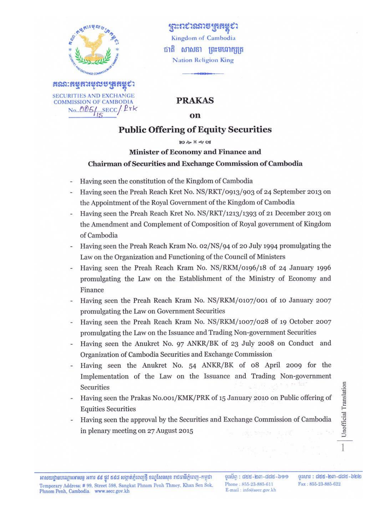

**COMMISSION OF CAMBODIA** No. 005/ SECC/Prk

ງຕະກະນະລາອງສຸສສຼະນ Kingdom of Cambodia ជាតិ សាសនា ព្រះមហាក្សត្រ **Nation Religion King** 

### **PRAKAS**

#### on

## **Public Offering of Equity Securities**

#### **80 20 X 40 08**

## Minister of Economy and Finance and Chairman of Securities and Exchange Commission of Cambodia

- Having seen the constitution of the Kingdom of Cambodia
- Having seen the Preah Reach Kret No. NS/RKT/0913/903 of 24 September 2013 on the Appointment of the Royal Government of the Kingdom of Cambodia
- Having seen the Preah Reach Kret No. NS/RKT/1213/1393 of 21 December 2013 on the Amendment and Complement of Composition of Royal government of Kingdom of Cambodia
- Having seen the Preah Reach Kram No. 02/NS/94 of 20 July 1994 promulgating the Law on the Organization and Functioning of the Council of Ministers
- Having seen the Preah Reach Kram No. NS/RKM/0196/18 of 24 January 1996 promulgating the Law on the Establishment of the Ministry of Economy and Finance
- Having seen the Preah Reach Kram No. NS/RKM/0107/001 of 10 January 2007 promulgating the Law on Government Securities
- Having seen the Preah Reach Kram No. NS/RKM/1007/028 of 19 October 2007 promulgating the Law on the Issuance and Trading Non-government Securities
- Having seen the Anukret No. 97 ANKR/BK of 23 July 2008 on Conduct and Organization of Cambodia Securities and Exchange Commission
- Having seen the Anukret No. 54 ANKR/BK of 08 April 2009 for the Implementation of the Law on the Issuance and Trading Non-government Securities
- Having seen the Prakas No.001/KMK/PRK of 15 January 2010 on Public offering of **Equities Securities**
- Having seen the approval by the Securities and Exchange Commission of Cambodia in plenary meeting on 27 August 2015

Unofficial Translation

 $\frac{1}{2}$  and  $\frac{1}{2}$  and  $\frac{1}{2}$  and  $\frac{1}{2}$  and  $\frac{1}{2}$ Phone: 855-23-885-611 E-mail: info@secc.gov.kh

ទរសារ : ៨៥៥-២៣-៨៨៥-៦២២ Fax: 855-23-885-622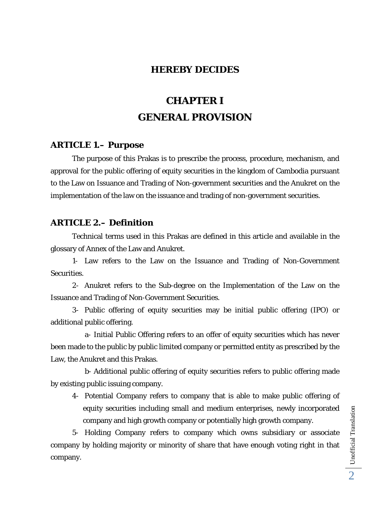### **HEREBY DECIDES**

# **CHAPTER I GENERAL PROVISION**

#### **ARTICLE 1.– Purpose**

 The purpose of this Prakas is to prescribe the process, procedure, mechanism, and approval for the public offering of equity securities in the kingdom of Cambodia pursuant to the Law on Issuance and Trading of Non-government securities and the Anukret on the implementation of the law on the issuance and trading of non-government securities.

#### **ARTICLE 2.– Definition**

 Technical terms used in this Prakas are defined in this article and available in the glossary of Annex of the Law and Anukret.

1- Law refers to the Law on the Issuance and Trading of Non-Government Securities.

2- Anukret refers to the Sub-degree on the Implementation of the Law on the Issuance and Trading of Non-Government Securities.

3- Public offering of equity securities may be initial public offering (IPO) or additional public offering.

a- Initial Public Offering refers to an offer of equity securities which has never been made to the public by public limited company or permitted entity as prescribed by the Law, the Anukret and this Prakas.

b- Additional public offering of equity securities refers to public offering made by existing public issuing company.

4- Potential Company refers to company that is able to make public offering of equity securities including small and medium enterprises, newly incorporated company and high growth company or potentially high growth company.

5- Holding Company refers to company which owns subsidiary or associate company by holding majority or minority of share that have enough voting right in that company.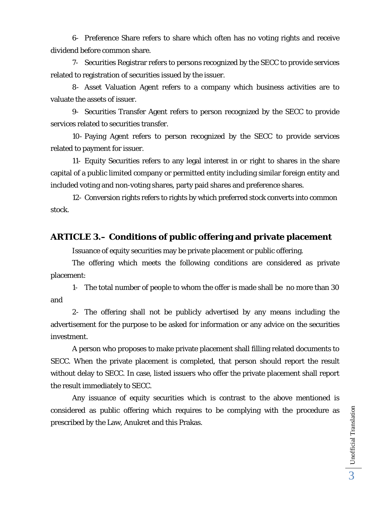6- Preference Share refers to share which often has no voting rights and receive dividend before common share.

7- Securities Registrar refers to persons recognized by the SECC to provide services related to registration of securities issued by the issuer.

8- Asset Valuation Agent refers to a company which business activities are to valuate the assets of issuer.

9- Securities Transfer Agent refers to person recognized by the SECC to provide services related to securities transfer.

10- Paying Agent refers to person recognized by the SECC to provide services related to payment for issuer.

11- Equity Securities refers to any legal interest in or right to shares in the share capital of a public limited company or permitted entity including similar foreign entity and included voting and non-voting shares, party paid shares and preference shares.

12- Conversion rights refers to rights by which preferred stock converts into common stock.

### **ARTICLE 3.– Conditions of public offering and private placement**

Issuance of equity securities may be private placement or public offering.

The offering which meets the following conditions are considered as private placement:

1- The total number of people to whom the offer is made shall be no more than 30 and

2- The offering shall not be publicly advertised by any means including the advertisement for the purpose to be asked for information or any advice on the securities investment.

 A person who proposes to make private placement shall filling related documents to SECC. When the private placement is completed, that person should report the result without delay to SECC. In case, listed issuers who offer the private placement shall report the result immediately to SECC.

 Any issuance of equity securities which is contrast to the above mentioned is considered as public offering which requires to be complying with the procedure as prescribed by the Law, Anukret and this Prakas.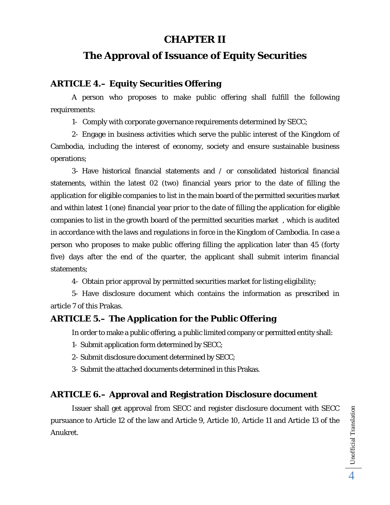## **CHAPTER II**

## **The Approval of Issuance of Equity Securities**

### **ARTICLE 4.– Equity Securities Offering**

A person who proposes to make public offering shall fulfill the following requirements:

1- Comply with corporate governance requirements determined by SECC;

2- Engage in business activities which serve the public interest of the Kingdom of Cambodia, including the interest of economy, society and ensure sustainable business operations;

3- Have historical financial statements and / or consolidated historical financial statements, within the latest 02 (two) financial years prior to the date of filling the application for eligible companies to list in the main board of the permitted securities market and within latest 1 (one) financial year prior to the date of filling the application for eligible companies to list in the growth board of the permitted securities market , which is audited in accordance with the laws and regulations in force in the Kingdom of Cambodia. In case a person who proposes to make public offering filling the application later than 45 (forty five) days after the end of the quarter, the applicant shall submit interim financial statements;

4- Obtain prior approval by permitted securities market for listing eligibility;

5- Have disclosure document which contains the information as prescribed in article 7 of this Prakas.

## **ARTICLE 5.– The Application for the Public Offering**

In order to make a public offering, a public limited company or permitted entity shall:

- 1- Submit application form determined by SECC;
- 2- Submit disclosure document determined by SECC;
- 3- Submit the attached documents determined in this Prakas.

## **ARTICLE 6.– Approval and Registration Disclosure document**

Issuer shall get approval from SECC and register disclosure document with SECC pursuance to Article 12 of the law and Article 9, Article 10, Article 11 and Article 13 of the Anukret.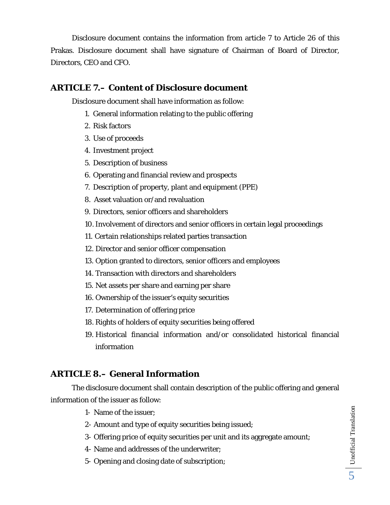Disclosure document contains the information from article 7 to Article 26 of this Prakas. Disclosure document shall have signature of Chairman of Board of Director, Directors, CEO and CFO.

### **ARTICLE 7.– Content of Disclosure document**

Disclosure document shall have information as follow:

- 1. General information relating to the public offering
- 2. Risk factors
- 3. Use of proceeds
- 4. Investment project
- 5. Description of business
- 6. Operating and financial review and prospects
- 7. Description of property, plant and equipment (PPE)
- 8. Asset valuation or/and revaluation
- 9. Directors, senior officers and shareholders
- 10.Involvement of directors and senior officers in certain legal proceedings
- 11. Certain relationships related parties transaction
- 12. Director and senior officer compensation
- 13. Option granted to directors, senior officers and employees
- 14. Transaction with directors and shareholders
- 15. Net assets per share and earning per share
- 16. Ownership of the issuer's equity securities
- 17. Determination of offering price
- 18. Rights of holders of equity securities being offered
- 19. Historical financial information and/or consolidated historical financial information

## **ARTICLE 8.– General Information**

The disclosure document shall contain description of the public offering and general information of the issuer as follow:

- 1- Name of the issuer;
- 2- Amount and type of equity securities being issued;
- 3- Offering price of equity securities per unit and its aggregate amount;
- 4- Name and addresses of the underwriter;
- 5- Opening and closing date of subscription;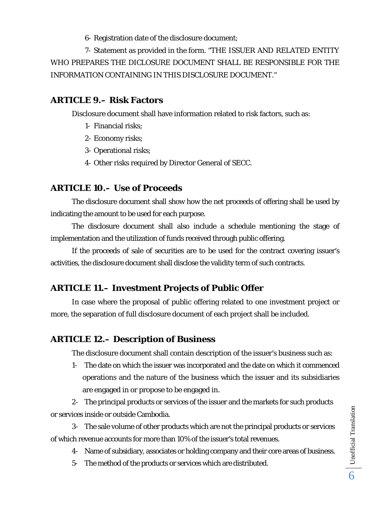6- Registration date of the disclosure document;

7- Statement as provided in the form. "THE ISSUER AND RELATED ENTITY WHO PREPARES THE DICLOSURE DOCUMENT SHALL BE RESPONSIBLE FOR THE INFORMATION CONTAINING IN THIS DISCLOSURE DOCUMENT."

## **ARTICLE 9.– Risk Factors**

Disclosure document shall have information related to risk factors, such as:

- 1- Financial risks;
- 2- Economy risks;
- 3- Operational risks;
- 4- Other risks required by Director General of SECC.

## **ARTICLE 10.– Use of Proceeds**

 The disclosure document shall show how the net proceeds of offering shall be used by indicating the amount to be used for each purpose.

 The disclosure document shall also include a schedule mentioning the stage of implementation and the utilization of funds received through public offering.

 If the proceeds of sale of securities are to be used for the contract covering issuer's activities, the disclosure document shall disclose the validity term of such contracts.

## **ARTICLE 11.– Investment Projects of Public Offer**

In case where the proposal of public offering related to one investment project or more, the separation of full disclosure document of each project shall be included.

## **ARTICLE 12.– Description of Business**

The disclosure document shall contain description of the issuer's business such as:

1- The date on which the issuer was incorporated and the date on which it commenced operations and the nature of the business which the issuer and its subsidiaries are engaged in or propose to be engaged in.

2- The principal products or services of the issuer and the markets for such products or services inside or outside Cambodia.

3- The sale volume of other products which are not the principal products or services of which revenue accounts for more than 10% of the issuer's total revenues.

- 4- Name of subsidiary, associates or holding company and their core areas of business.
- 5- The method of the products or services which are distributed.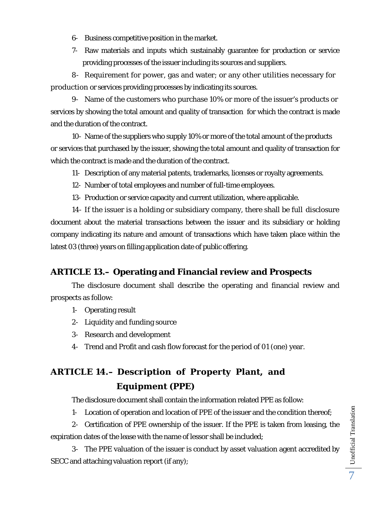- 6- Business competitive position in the market.
- 7- Raw materials and inputs which sustainably guarantee for production or service providing processes of the issuer including its sources and suppliers.

8- Requirement for power, gas and water; or any other utilities necessary for production or services providing processes by indicating its sources.

9- Name of the customers who purchase 10% or more of the issuer's products or services by showing the total amount and quality of transaction for which the contract is made and the duration of the contract.

10- Name of the suppliers who supply 10% or more of the total amount of the products or services that purchased by the issuer, showing the total amount and quality of transaction for which the contract is made and the duration of the contract.

- 11- Description of any material patents, trademarks, licenses or royalty agreements.
- 12- Number of total employees and number of full-time employees.
- 13- Production or service capacity and current utilization, where applicable.

14- If the issuer is a holding or subsidiary company, there shall be full disclosure document about the material transactions between the issuer and its subsidiary or holding company indicating its nature and amount of transactions which have taken place within the latest 03 (three) years on filling application date of public offering.

## **ARTICLE 13.– Operating and Financial review and Prospects**

The disclosure document shall describe the operating and financial review and prospects as follow:

- 1- Operating result
- 2- Liquidity and funding source
- 3- Research and development
- 4- Trend and Profit and cash flow forecast for the period of 01 (one) year.

## **ARTICLE 14.– Description of Property Plant, and Equipment (PPE)**

The disclosure document shall contain the information related PPE as follow:

1- Location of operation and location of PPE of the issuer and the condition thereof;

2- Certification of PPE ownership of the issuer. If the PPE is taken from leasing, the expiration dates of the lease with the name of lessor shall be included;

3- The PPE valuation of the issuer is conduct by asset valuation agent accredited by SECC and attaching valuation report (if any);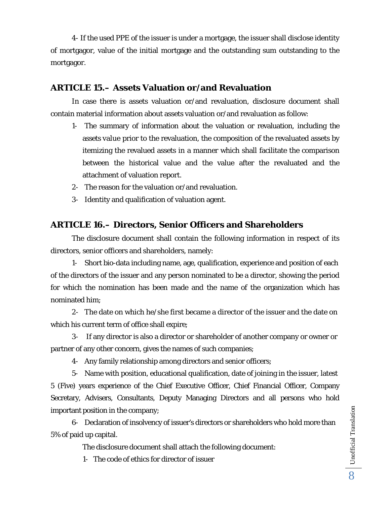4- If the used PPE of the issuer is under a mortgage, the issuer shall disclose identity of mortgagor, value of the initial mortgage and the outstanding sum outstanding to the mortgagor.

### **ARTICLE 15.– Assets Valuation or/and Revaluation**

In case there is assets valuation or/and revaluation, disclosure document shall contain material information about assets valuation or/and revaluation as follow:

- 1- The summary of information about the valuation or revaluation, including the assets value prior to the revaluation, the composition of the revaluated assets by itemizing the revalued assets in a manner which shall facilitate the comparison between the historical value and the value after the revaluated and the attachment of valuation report.
- 2- The reason for the valuation or/and revaluation.
- 3- Identity and qualification of valuation agent.

## **ARTICLE 16.– Directors, Senior Officers and Shareholders**

The disclosure document shall contain the following information in respect of its directors, senior officers and shareholders, namely:

1- Short bio-data including name, age, qualification, experience and position of each of the directors of the issuer and any person nominated to be a director, showing the period for which the nomination has been made and the name of the organization which has nominated him;

2- The date on which he/she first became a director of the issuer and the date on which his current term of office shall expire;

3- If any director is also a director or shareholder of another company or owner or partner of any other concern, gives the names of such companies;

4- Any family relationship among directors and senior officers;

5- Name with position, educational qualification, date of joining in the issuer, latest 5 (Five) years experience of the Chief Executive Officer, Chief Financial Officer, Company Secretary, Advisers, Consultants, Deputy Managing Directors and all persons who hold important position in the company;

6- Declaration of insolvency of issuer's directors or shareholders who hold more than 5% of paid up capital.

The disclosure document shall attach the following document:

1- The code of ethics for director of issuer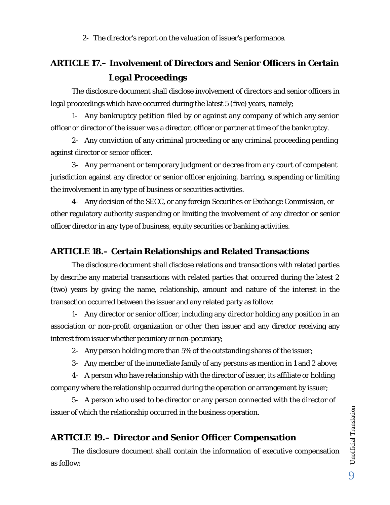2- The director's report on the valuation of issuer's performance.

## **ARTICLE 17.– Involvement of Directors and Senior Officers in Certain Legal Proceedings**

The disclosure document shall disclose involvement of directors and senior officers in legal proceedings which have occurred during the latest 5 (five) years, namely;

1- Any bankruptcy petition filed by or against any company of which any senior officer or director of the issuer was a director, officer or partner at time of the bankruptcy.

2- Any conviction of any criminal proceeding or any criminal proceeding pending against director or senior officer.

3- Any permanent or temporary judgment or decree from any court of competent jurisdiction against any director or senior officer enjoining, barring, suspending or limiting the involvement in any type of business or securities activities.

4- Any decision of the SECC, or any foreign Securities or Exchange Commission, or other regulatory authority suspending or limiting the involvement of any director or senior officer director in any type of business, equity securities or banking activities.

## **ARTICLE 18.– Certain Relationships and Related Transactions**

 The disclosure document shall disclose relations and transactions with related parties by describe any material transactions with related parties that occurred during the latest 2 (two) years by giving the name, relationship, amount and nature of the interest in the transaction occurred between the issuer and any related party as follow:

1- Any director or senior officer, including any director holding any position in an association or non-profit organization or other then issuer and any director receiving any interest from issuer whether pecuniary or non-pecuniary;

2- Any person holding more than 5% of the outstanding shares of the issuer;

3- Any member of the immediate family of any persons as mention in 1 and 2 above;

4- A person who have relationship with the director of issuer, its affiliate or holding company where the relationship occurred during the operation or arrangement by issuer;

5- A person who used to be director or any person connected with the director of issuer of which the relationship occurred in the business operation.

## **ARTICLE 19.– Director and Senior Officer Compensation**

The disclosure document shall contain the information of executive compensation as follow: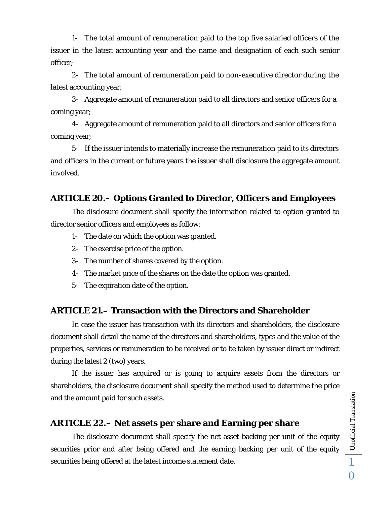1- The total amount of remuneration paid to the top five salaried officers of the issuer in the latest accounting year and the name and designation of each such senior officer;

2- The total amount of remuneration paid to non-executive director during the latest accounting year;

3- Aggregate amount of remuneration paid to all directors and senior officers for a coming year;

4- Aggregate amount of remuneration paid to all directors and senior officers for a coming year;

5- If the issuer intends to materially increase the remuneration paid to its directors and officers in the current or future years the issuer shall disclosure the aggregate amount involved.

### **ARTICLE 20.– Options Granted to Director, Officers and Employees**

 The disclosure document shall specify the information related to option granted to director senior officers and employees as follow:

- 1- The date on which the option was granted.
- 2- The exercise price of the option.
- 3- The number of shares covered by the option.
- 4- The market price of the shares on the date the option was granted.
- 5- The expiration date of the option.

### **ARTICLE 21.– Transaction with the Directors and Shareholder**

In case the issuer has transaction with its directors and shareholders, the disclosure document shall detail the name of the directors and shareholders, types and the value of the properties, services or remuneration to be received or to be taken by issuer direct or indirect during the latest 2 (two) years.

 If the issuer has acquired or is going to acquire assets from the directors or shareholders, the disclosure document shall specify the method used to determine the price and the amount paid for such assets.

#### **ARTICLE 22.– Net assets per share and Earning per share**

 The disclosure document shall specify the net asset backing per unit of the equity securities prior and after being offered and the earning backing per unit of the equity securities being offered at the latest income statement date.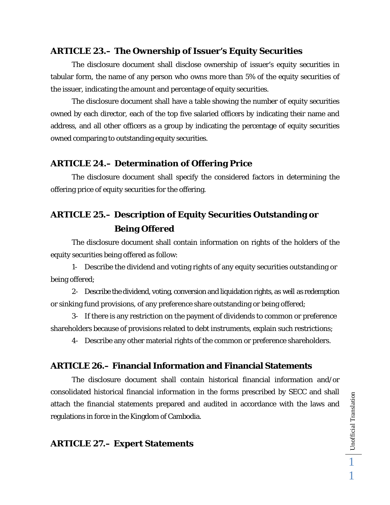### **ARTICLE 23.– The Ownership of Issuer's Equity Securities**

The disclosure document shall disclose ownership of issuer's equity securities in tabular form, the name of any person who owns more than 5% of the equity securities of the issuer, indicating the amount and percentage of equity securities.

 The disclosure document shall have a table showing the number of equity securities owned by each director, each of the top five salaried officers by indicating their name and address, and all other officers as a group by indicating the percentage of equity securities owned comparing to outstanding equity securities.

### **ARTICLE 24.– Determination of Offering Price**

The disclosure document shall specify the considered factors in determining the offering price of equity securities for the offering.

## **ARTICLE 25.– Description of Equity Securities Outstanding or Being Offered**

The disclosure document shall contain information on rights of the holders of the equity securities being offered as follow:

1- Describe the dividend and voting rights of any equity securities outstanding or being offered;

2- Describe the dividend, voting, conversion and liquidation rights, as well as redemption or sinking fund provisions, of any preference share outstanding or being offered;

3- If there is any restriction on the payment of dividends to common or preference shareholders because of provisions related to debt instruments, explain such restrictions;

4- Describe any other material rights of the common or preference shareholders.

### **ARTICLE 26.– Financial Information and Financial Statements**

The disclosure document shall contain historical financial information and/or consolidated historical financial information in the forms prescribed by SECC and shall attach the financial statements prepared and audited in accordance with the laws and regulations in force in the Kingdom of Cambodia.

### **ARTICLE 27.– Expert Statements**

Unofficial Translation 1

1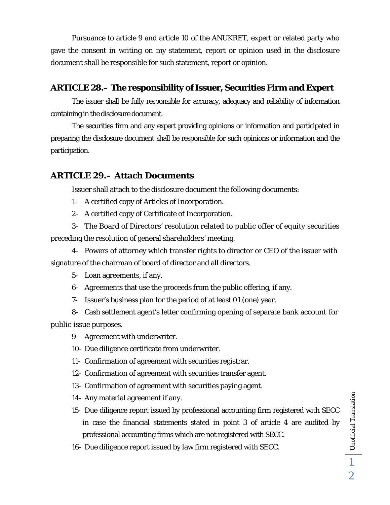Pursuance to article 9 and article 10 of the ANUKRET, expert or related party who gave the consent in writing on my statement, report or opinion used in the disclosure document shall be responsible for such statement, report or opinion.

### **ARTICLE 28.– The responsibility of Issuer, Securities Firm and Expert**

 The issuer shall be fully responsible for accuracy, adequacy and reliability of information containing in the disclosure document.

 The securities firm and any expert providing opinions or information and participated in preparing the disclosure document shall be responsible for such opinions or information and the participation.

## **ARTICLE 29.– Attach Documents**

Issuer shall attach to the disclosure document the following documents:

- 1- A certified copy of Articles of Incorporation.
- 2- A certified copy of Certificate of Incorporation.

3- The Board of Directors' resolution related to public offer of equity securities preceding the resolution of general shareholders' meeting.

4- Powers of attorney which transfer rights to director or CEO of the issuer with signature of the chairman of board of director and all directors.

5- Loan agreements, if any.

- 6- Agreements that use the proceeds from the public offering, if any.
- 7- Issuer's business plan for the period of at least 01 (one) year.

8- Cash settlement agent's letter confirming opening of separate bank account for public issue purposes.

9- Agreement with underwriter.

10- Due diligence certificate from underwriter.

11- Confirmation of agreement with securities registrar.

- 12- Confirmation of agreement with securities transfer agent.
- 13- Confirmation of agreement with securities paying agent.
- 14- Any material agreement if any.
- 15- Due diligence report issued by professional accounting firm registered with SECC in case the financial statements stated in point 3 of article 4 are audited by professional accounting firms which are not registered with SECC.
- 16- Due diligence report issued by law firm registered with SECC.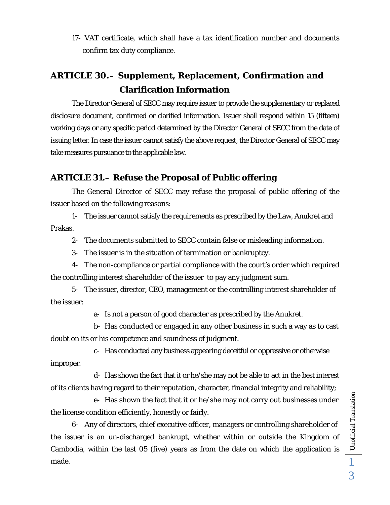17- VAT certificate, which shall have a tax identification number and documents confirm tax duty compliance.

## **ARTICLE 30.– Supplement, Replacement, Confirmation and Clarification Information**

 The Director General of SECC may require issuer to provide the supplementary or replaced disclosure document, confirmed or clarified information. Issuer shall respond within 15 (fifteen) working days or any specific period determined by the Director General of SECC from the date of issuing letter. In case the issuer cannot satisfy the above request, the Director General of SECC may take measures pursuance to the applicable law.

## **ARTICLE 31.– Refuse the Proposal of Public offering**

The General Director of SECC may refuse the proposal of public offering of the issuer based on the following reasons:

1- The issuer cannot satisfy the requirements as prescribed by the Law, Anukret and Prakas.

2- The documents submitted to SECC contain false or misleading information.

3- The issuer is in the situation of termination or bankruptcy.

4- The non-compliance or partial compliance with the court's order which required the controlling interest shareholder of the issuer to pay any judgment sum.

5- The issuer, director, CEO, management or the controlling interest shareholder of the issuer:

a- Is not a person of good character as prescribed by the Anukret.

b- Has conducted or engaged in any other business in such a way as to cast doubt on its or his competence and soundness of judgment.

c- Has conducted any business appearing deceitful or oppressive or otherwise improper.

d- Has shown the fact that it or he/she may not be able to act in the best interest of its clients having regard to their reputation, character, financial integrity and reliability;

e- Has shown the fact that it or he/she may not carry out businesses under the license condition efficiently, honestly or fairly.

6- Any of directors, chief executive officer, managers or controlling shareholder of the issuer is an un-discharged bankrupt, whether within or outside the Kingdom of Cambodia, within the last 05 (five) years as from the date on which the application is made.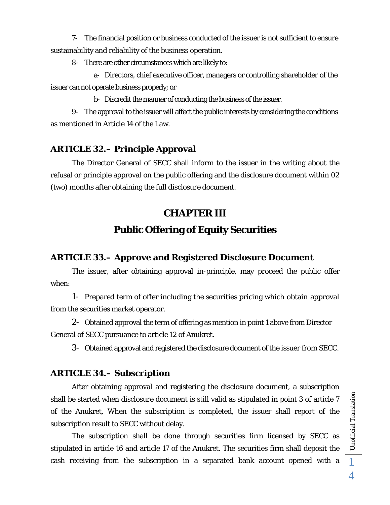7- The financial position or business conducted of the issuer is not sufficient to ensure sustainability and reliability of the business operation.

8- There are other circumstances which are likely to:

a- Directors, chief executive officer, managers or controlling shareholder of the issuer can not operate business properly; or

b- Discredit the manner of conducting the business of the issuer.

9- The approval to the issuer will affect the public interests by considering the conditions as mentioned in Article 14 of the Law.

## **ARTICLE 32.– Principle Approval**

The Director General of SECC shall inform to the issuer in the writing about the refusal or principle approval on the public offering and the disclosure document within 02 (two) months after obtaining the full disclosure document.

# **CHAPTER III Public Offering of Equity Securities**

## **ARTICLE 33.– Approve and Registered Disclosure Document**

The issuer, after obtaining approval in-principle, may proceed the public offer when:

1- Prepared term of offer including the securities pricing which obtain approval from the securities market operator.

2- Obtained approval the term of offering as mention in point 1 above from Director General of SECC pursuance to article 12 of Anukret.

3- Obtained approval and registered the disclosure document of the issuer from SECC.

## **ARTICLE 34.– Subscription**

 After obtaining approval and registering the disclosure document, a subscription shall be started when disclosure document is still valid as stipulated in point 3 of article 7 of the Anukret, When the subscription is completed, the issuer shall report of the subscription result to SECC without delay.

 The subscription shall be done through securities firm licensed by SECC as stipulated in article 16 and article 17 of the Anukret. The securities firm shall deposit the cash receiving from the subscription in a separated bank account opened with a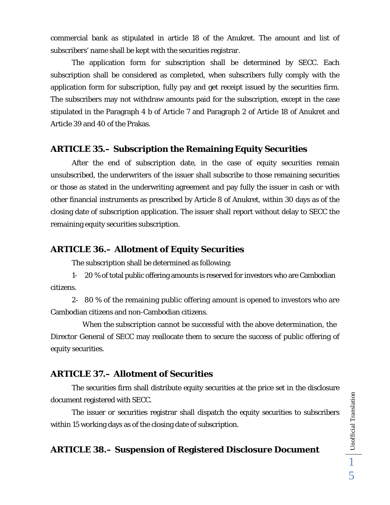commercial bank as stipulated in article 18 of the Anukret. The amount and list of subscribers' name shall be kept with the securities registrar.

 The application form for subscription shall be determined by SECC. Each subscription shall be considered as completed, when subscribers fully comply with the application form for subscription, fully pay and get receipt issued by the securities firm. The subscribers may not withdraw amounts paid for the subscription, except in the case stipulated in the Paragraph 4 b of Article 7 and Paragraph 2 of Article 18 of Anukret and Article 39 and 40 of the Prakas.

### **ARTICLE 35.– Subscription the Remaining Equity Securities**

After the end of subscription date, in the case of equity securities remain unsubscribed, the underwriters of the issuer shall subscribe to those remaining securities or those as stated in the underwriting agreement and pay fully the issuer in cash or with other financial instruments as prescribed by Article 8 of Anukret, within 30 days as of the closing date of subscription application. The issuer shall report without delay to SECC the remaining equity securities subscription.

### **ARTICLE 36.– Allotment of Equity Securities**

The subscription shall be determined as following:

1- 20 % of total public offering amounts is reserved for investors who are Cambodian citizens.

2- 80 % of the remaining public offering amount is opened to investors who are Cambodian citizens and non-Cambodian citizens.

When the subscription cannot be successful with the above determination, the Director General of SECC may reallocate them to secure the success of public offering of equity securities.

## **ARTICLE 37.– Allotment of Securities**

 The securities firm shall distribute equity securities at the price set in the disclosure document registered with SECC.

 The issuer or securities registrar shall dispatch the equity securities to subscribers within 15 working days as of the closing date of subscription.

## **ARTICLE 38.– Suspension of Registered Disclosure Document**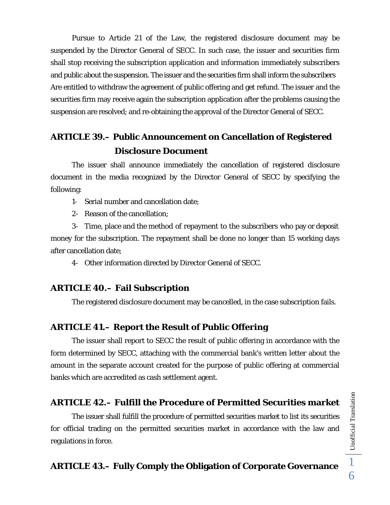Pursue to Article 21 of the Law, the registered disclosure document may be suspended by the Director General of SECC. In such case, the issuer and securities firm shall stop receiving the subscription application and information immediately subscribers and public about the suspension. The issuer and the securities firm shall inform the subscribers Are entitled to withdraw the agreement of public offering and get refund. The issuer and the securities firm may receive again the subscription application after the problems causing the suspension are resolved; and re-obtaining the approval of the Director General of SECC.

## **ARTICLE 39.– Public Announcement on Cancellation of Registered Disclosure Document**

 The issuer shall announce immediately the cancellation of registered disclosure document in the media recognized by the Director General of SECC by specifying the following:

- 1- Serial number and cancellation date;
- 2- Reason of the cancellation;

3- Time, place and the method of repayment to the subscribers who pay or deposit money for the subscription. The repayment shall be done no longer than 15 working days after cancellation date;

4- Other information directed by Director General of SECC.

### **ARTICLE 40.– Fail Subscription**

The registered disclosure document may be cancelled, in the case subscription fails.

#### **ARTICLE 41.– Report the Result of Public Offering**

The issuer shall report to SECC the result of public offering in accordance with the form determined by SECC, attaching with the commercial bank's written letter about the amount in the separate account created for the purpose of public offering at commercial banks which are accredited as cash settlement agent.

### **ARTICLE 42.– Fulfill the Procedure of Permitted Securities market**

 The issuer shall fulfill the procedure of permitted securities market to list its securities for official trading on the permitted securities market in accordance with the law and regulations in force.

#### **ARTICLE 43.– Fully Comply the Obligation of Corporate Governance**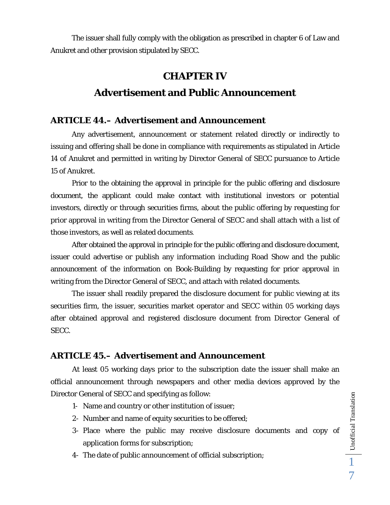The issuer shall fully comply with the obligation as prescribed in chapter 6 of Law and Anukret and other provision stipulated by SECC.

# **CHAPTER IV Advertisement and Public Announcement**

### **ARTICLE 44.– Advertisement and Announcement**

Any advertisement, announcement or statement related directly or indirectly to issuing and offering shall be done in compliance with requirements as stipulated in Article 14 of Anukret and permitted in writing by Director General of SECC pursuance to Article 15 of Anukret.

 Prior to the obtaining the approval in principle for the public offering and disclosure document, the applicant could make contact with institutional investors or potential investors, directly or through securities firms, about the public offering by requesting for prior approval in writing from the Director General of SECC and shall attach with a list of those investors, as well as related documents.

After obtained the approval in principle for the public offering and disclosure document, issuer could advertise or publish any information including Road Show and the public announcement of the information on Book-Building by requesting for prior approval in writing from the Director General of SECC, and attach with related documents.

The issuer shall readily prepared the disclosure document for public viewing at its securities firm, the issuer, securities market operator and SECC within 05 working days after obtained approval and registered disclosure document from Director General of SECC.

## **ARTICLE 45.– Advertisement and Announcement**

 At least 05 working days prior to the subscription date the issuer shall make an official announcement through newspapers and other media devices approved by the Director General of SECC and specifying as follow:

- 1- Name and country or other institution of issuer;
- 2- Number and name of equity securities to be offered;
- 3- Place where the public may receive disclosure documents and copy of application forms for subscription;
- 4- The date of public announcement of official subscription;

Unofficial Translation  $\Box$  Unofficial Translation 7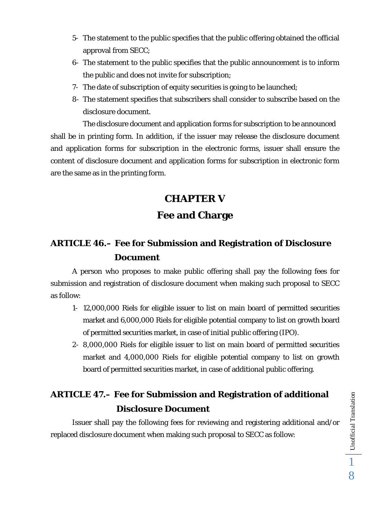- 5- The statement to the public specifies that the public offering obtained the official approval from SECC;
- 6- The statement to the public specifies that the public announcement is to inform the public and does not invite for subscription;
- 7- The date of subscription of equity securities is going to be launched;
- 8- The statement specifies that subscribers shall consider to subscribe based on the disclosure document.

The disclosure document and application forms for subscription to be announced shall be in printing form. In addition, if the issuer may release the disclosure document and application forms for subscription in the electronic forms, issuer shall ensure the content of disclosure document and application forms for subscription in electronic form are the same as in the printing form.

# **CHAPTER V Fee and Charge**

## **ARTICLE 46.– Fee for Submission and Registration of Disclosure Document**

A person who proposes to make public offering shall pay the following fees for submission and registration of disclosure document when making such proposal to SECC as follow:

- 1- 12,000,000 Riels for eligible issuer to list on main board of permitted securities market and 6,000,000 Riels for eligible potential company to list on growth board of permitted securities market, in case of initial public offering (IPO).
- 2- 8,000,000 Riels for eligible issuer to list on main board of permitted securities market and 4,000,000 Riels for eligible potential company to list on growth board of permitted securities market, in case of additional public offering.

## **ARTICLE 47.– Fee for Submission and Registration of additional Disclosure Document**

 Issuer shall pay the following fees for reviewing and registering additional and/or replaced disclosure document when making such proposal to SECC as follow: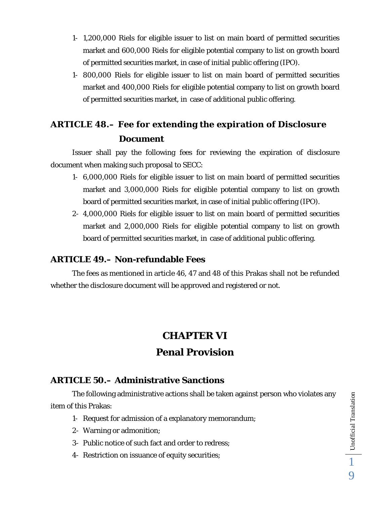- 1- 1,200,000 Riels for eligible issuer to list on main board of permitted securities market and 600,000 Riels for eligible potential company to list on growth board of permitted securities market, in case of initial public offering (IPO).
- 1- 800,000 Riels for eligible issuer to list on main board of permitted securities market and 400,000 Riels for eligible potential company to list on growth board of permitted securities market, in case of additional public offering.

## **ARTICLE 48.– Fee for extending the expiration of Disclosure Document**

 Issuer shall pay the following fees for reviewing the expiration of disclosure document when making such proposal to SECC:

- 1- 6,000,000 Riels for eligible issuer to list on main board of permitted securities market and 3,000,000 Riels for eligible potential company to list on growth board of permitted securities market, in case of initial public offering (IPO).
- 2- 4,000,000 Riels for eligible issuer to list on main board of permitted securities market and 2,000,000 Riels for eligible potential company to list on growth board of permitted securities market, in case of additional public offering.

### **ARTICLE 49.– Non-refundable Fees**

 The fees as mentioned in article 46, 47 and 48 of this Prakas shall not be refunded whether the disclosure document will be approved and registered or not.

## **CHAPTER VI**

## **Penal Provision**

### **ARTICLE 50.– Administrative Sanctions**

The following administrative actions shall be taken against person who violates any item of this Prakas:

- 1- Request for admission of a explanatory memorandum;
- 2- Warning or admonition;
- 3- Public notice of such fact and order to redress;
- 4- Restriction on issuance of equity securities;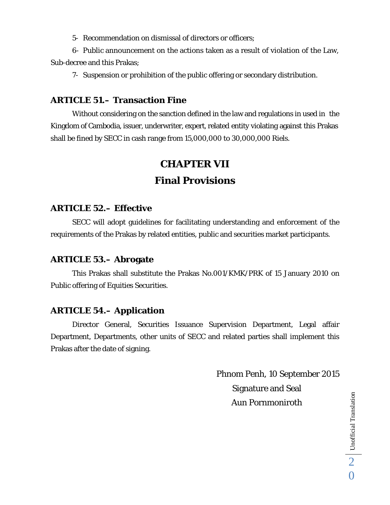5- Recommendation on dismissal of directors or officers;

6- Public announcement on the actions taken as a result of violation of the Law, Sub-decree and this Prakas;

7- Suspension or prohibition of the public offering or secondary distribution.

### **ARTICLE 51.– Transaction Fine**

Without considering on the sanction defined in the law and regulations in used in the Kingdom of Cambodia, issuer, underwriter, expert, related entity violating against this Prakas shall be fined by SECC in cash range from 15,000,000 to 30,000,000 Riels.

## **CHAPTER VII**

## **Final Provisions**

### **ARTICLE 52.– Effective**

 SECC will adopt guidelines for facilitating understanding and enforcement of the requirements of the Prakas by related entities, public and securities market participants.

### **ARTICLE 53.– Abrogate**

 This Prakas shall substitute the Prakas No.001/KMK/PRK of 15 January 2010 on Public offering of Equities Securities.

## **ARTICLE 54.– Application**

Director General, Securities Issuance Supervision Department, Legal affair Department, Departments, other units of SECC and related parties shall implement this Prakas after the date of signing.

> Phnom Penh, 10 September 2015 Signature and Seal Aun Pornmoniroth